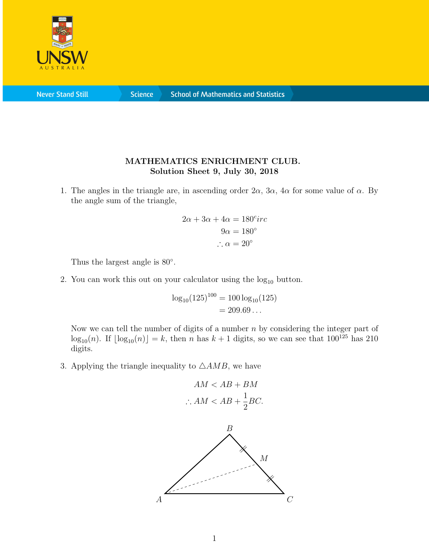

**Never Stand Still** 

**Science** 

## MATHEMATICS ENRICHMENT CLUB. Solution Sheet 9, July 30, 2018

1. The angles in the triangle are, in ascending order  $2\alpha$ ,  $3\alpha$ ,  $4\alpha$  for some value of  $\alpha$ . By the angle sum of the triangle,

$$
2\alpha + 3\alpha + 4\alpha = 180^{\circ}irc
$$
  

$$
9\alpha = 180^{\circ}
$$
  

$$
\therefore \alpha = 20^{\circ}
$$

Thus the largest angle is  $80^\circ$ .

2. You can work this out on your calculator using the  $log_{10}$  button.

$$
\log_{10}(125)^{100} = 100 \log_{10}(125)
$$
  
= 209.69...

Now we can tell the number of digits of a number  $n$  by considering the integer part of  $\log_{10}(n)$ . If  $\lfloor \log_{10}(n) \rfloor = k$ , then n has  $k + 1$  digits, so we can see that  $100^{125}$  has 210 digits.

3. Applying the triangle inequality to  $\triangle AMB$ , we have

$$
AM < AB + BM
$$
  
\n
$$
\therefore AM < AB + \frac{1}{2}BC.
$$

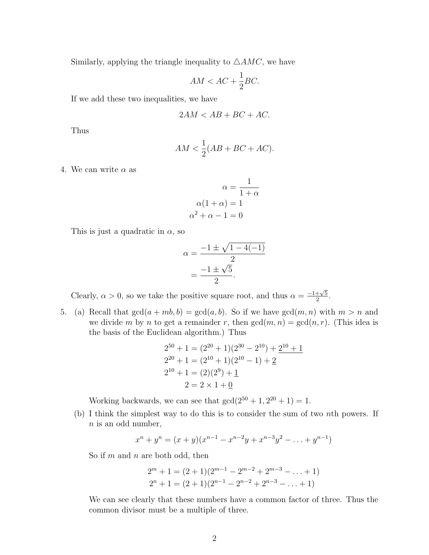Similarly, applying the triangle inequality to  $\triangle AMC$ , we have

$$
AM < AC + \frac{1}{2}BC.
$$

If we add these two inequalities, we have

$$
2AM < AB + BC + AC.
$$

Thus

$$
AM < \frac{1}{2}(AB + BC + AC).
$$

4. We can write  $\alpha$  as

$$
\alpha = \frac{1}{1+\alpha}
$$

$$
\alpha(1+\alpha) = 1
$$

$$
\alpha^2 + \alpha - 1 = 0
$$

This is just a quadratic in  $\alpha$ , so

$$
\alpha = \frac{-1 \pm \sqrt{1 - 4(-1)}}{2} = \frac{-1 \pm \sqrt{5}}{2}.
$$

Clearly,  $\alpha > 0$ , so we take the positive square root, and thus  $\alpha = \frac{-1+\sqrt{5}}{2}$  $rac{+\sqrt{5}}{2}$ .

5. (a) Recall that  $gcd(a + mb, b) = gcd(a, b)$ . So if we have  $gcd(m, n)$  with  $m > n$  and we divide m by n to get a remainder r, then  $gcd(m, n) = gcd(n, r)$ . (This idea is the basis of the Euclidean algorithm.) Thus

$$
2^{50} + 1 = (2^{20} + 1)(2^{30} - 2^{10}) + 2^{10} + 1
$$
  
\n
$$
2^{20} + 1 = (2^{10} + 1)(2^{10} - 1) + 2
$$
  
\n
$$
2^{10} + 1 = (2)(2^9) + 1
$$
  
\n
$$
2 = 2 \times 1 + 0
$$

Working backwards, we can see that  $gcd(2^{50} + 1, 2^{20} + 1) = 1$ .

(b) I think the simplest way to do this is to consider the sum of two nth powers. If  $n$  is an odd number,

$$
x^{n} + y^{n} = (x + y)(x^{n-1} - x^{n-2}y + x^{n-3}y^{2} - \dots + y^{n-1})
$$

So if  $m$  and  $n$  are both odd, then

$$
2m + 1 = (2 + 1)(2m-1 - 2m-2 + 2m-3 - ... + 1)
$$
  

$$
2n + 1 = (2 + 1)(2n-1 - 2n-2 + 2n-3 - ... + 1)
$$

We can see clearly that these numbers have a common factor of three. Thus the common divisor must be a multiple of three.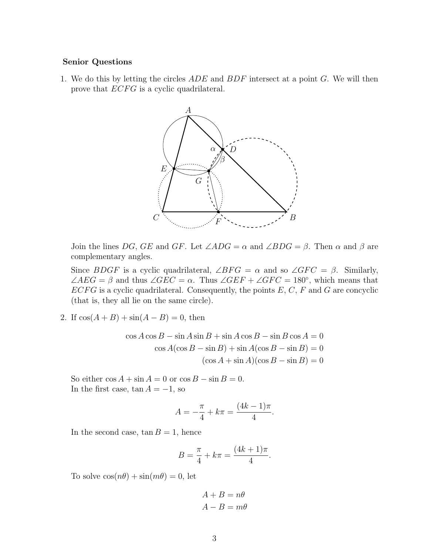## Senior Questions

1. We do this by letting the circles  $ADE$  and  $BDF$  intersect at a point  $G$ . We will then prove that *ECFG* is a cyclic quadrilateral.



Join the lines DG, GE and GF. Let  $\angle ADC = \alpha$  and  $\angle BDG = \beta$ . Then  $\alpha$  and  $\beta$  are complementary angles.

Since BDGF is a cyclic quadrilateral,  $\angle BFG = \alpha$  and so  $\angle GFC = \beta$ . Similarly,  $\angle AEG = \beta$  and thus  $\angle GEC = \alpha$ . Thus  $\angle GEF + \angle GFC = 180^{\circ}$ , which means that  $ECFG$  is a cyclic quadrilateral. Consequently, the points  $E, C, F$  and G are concyclic (that is, they all lie on the same circle).

2. If  $cos(A + B) + sin(A - B) = 0$ , then

$$
\cos A \cos B - \sin A \sin B + \sin A \cos B - \sin B \cos A = 0
$$
  

$$
\cos A(\cos B - \sin B) + \sin A(\cos B - \sin B) = 0
$$
  

$$
(\cos A + \sin A)(\cos B - \sin B) = 0
$$

So either  $\cos A + \sin A = 0$  or  $\cos B - \sin B = 0$ . In the first case,  $\tan A = -1$ , so

$$
A = -\frac{\pi}{4} + k\pi = \frac{(4k-1)\pi}{4}.
$$

In the second case,  $\tan B = 1$ , hence

$$
B = \frac{\pi}{4} + k\pi = \frac{(4k+1)\pi}{4}.
$$

To solve  $\cos(n\theta) + \sin(m\theta) = 0$ , let

 $A + B = n\theta$  $A - B = m\theta$